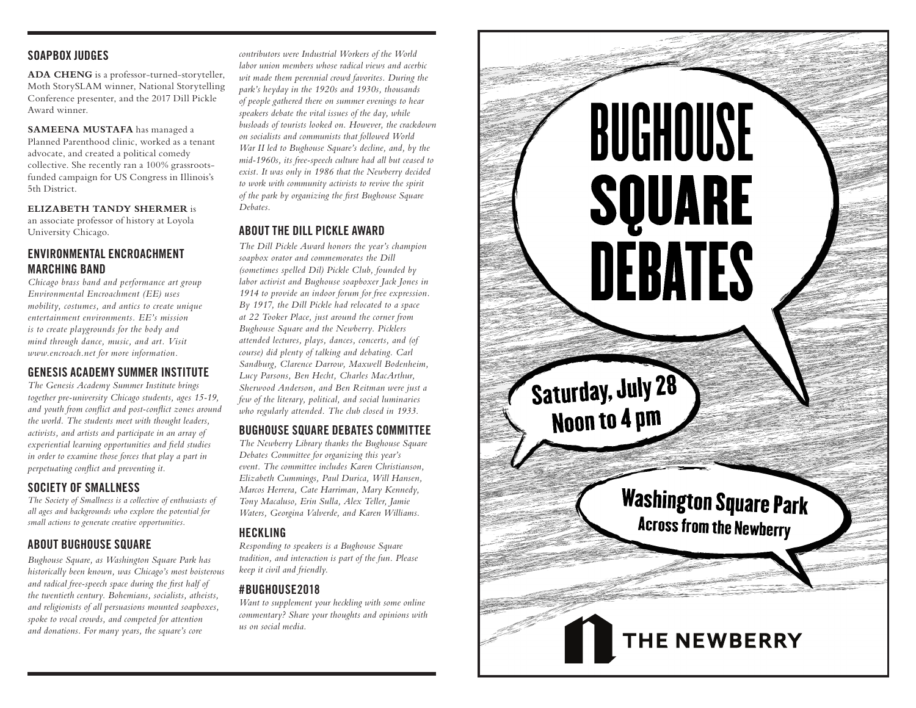## **SOAPBOX JUDGES**

**ADA CHENG** is a professor-turned-storyteller, Moth StorySLAM winner, National Storytelling Conference presenter, and the 2017 Dill Pickle Award winner.

**SAMEENA MUSTAFA** has managed a Planned Parenthood clinic, worked as a tenant advocate, and created a political comedy collective. She recently ran a 100% grassrootsfunded campaign for US Congress in Illinois's 5th District.

**ELIZABETH TANDY SHERMER** is an associate professor of history at Loyola University Chicago.

## **ENVIRONMENTAL ENCROACHMENT MARCHING BAND**

*Chicago brass band and performance art group Environmental Encroachment (EE) uses mobility, costumes, and antics to create unique entertainment environments. EE's mission is to create playgrounds for the body and mind through dance, music, and art. Visit www.encroach.net for more information.*

# **GENESIS ACADEMY SUMMER INSTITUTE**

*The Genesis Academy Summer Institute brings together pre-university Chicago students, ages 15-19, and youth from conflict and post-conflict zones around the world. The students meet with thought leaders, activists, and artists and participate in an array of experiential learning opportunities and field studies in order to examine those forces that play a part in perpetuating conflict and preventing it.*

# **SOCIETY OF SMALLNESS**

*The Society of Smallness is a collective of enthusiasts of all ages and backgrounds who explore the potential for small actions to generate creative opportunities.*

# **ABOUT BUGHOUSE SQUARE**

*Bughouse Square, as Washington Square Park has historically been known, was Chicago's most boisterous and radical free-speech space during the first half of the twentieth century. Bohemians, socialists, atheists, and religionists of all persuasions mounted soapboxes, spoke to vocal crowds, and competed for attention and donations. For many years, the square's core* 

*contributors were Industrial Workers of the World labor union members whose radical views and acerbic wit made them perennial crowd favorites. During the park's heyday in the 1920s and 1930s, thousands of people gathered there on summer evenings to hear speakers debate the vital issues of the day, while busloads of tourists looked on. However, the crackdown on socialists and communists that followed World War II led to Bughouse Square's decline, and, by the mid-1960s, its free-speech culture had all but ceased to exist. It was only in 1986 that the Newberry decided to work with community activists to revive the spirit of the park by organizing the first Bughouse Square Debates.*

## **ABOUT THE DILL PICKLE AWARD**

*The Dill Pickle Award honors the year's champion soapbox orator and commemorates the Dill (sometimes spelled Dil) Pickle Club, founded by labor activist and Bughouse soapboxer Jack Jones in 1914 to provide an indoor forum for free expression. By 1917, the Dill Pickle had relocated to a space at 22 Tooker Place, just around the corner from Bughouse Square and the Newberry. Picklers attended lectures, plays, dances, concerts, and (of course) did plenty of talking and debating. Carl Sandburg, Clarence Darrow, Maxwell Bodenheim, Lucy Parsons, Ben Hecht, Charles MacArthur, Sherwood Anderson, and Ben Reitman were just a few of the literary, political, and social luminaries who regularly attended. The club closed in 1933.*

## **BUGHOUSE SQUARE DEBATES COMMITTEE**

*The Newberry Library thanks the Bughouse Square Debates Committee for organizing this year's event. The committee includes Karen Christianson, Elizabeth Cummings, Paul Durica, Will Hansen, Marcos Herrera, Cate Harriman, Mary Kennedy, Tony Macaluso, Erin Sulla, Alex Teller, Jamie Waters, Georgina Valverde, and Karen Williams.*

# **HECKLING**

*Responding to speakers is a Bughouse Square tradition, and interaction is part of the fun. Please keep it civil and friendly.*

# **#BUGHOUSE2018**

*Want to supplement your heckling with some online commentary? Share your thoughts and opinions with us on social media.*